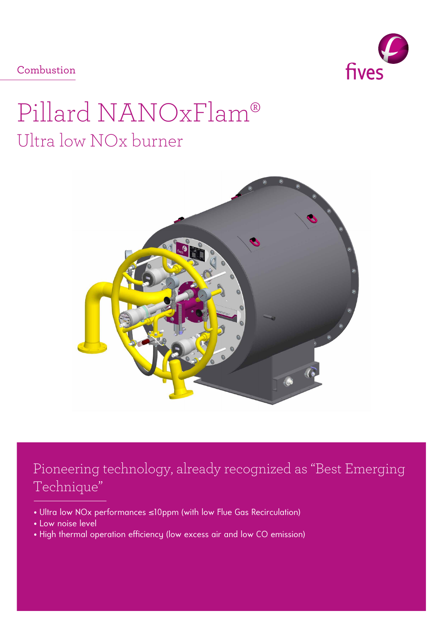fives

Combustion

# Pillard NANOxFlam® Ultra low NOx burner



## Pioneering technology, already recognized as "Best Emerging Technique"

- Ultra low NOx performances ≤10ppm (with low Flue Gas Recirculation)
- Low noise level
- High thermal operation efficiency (low excess air and low CO emission)